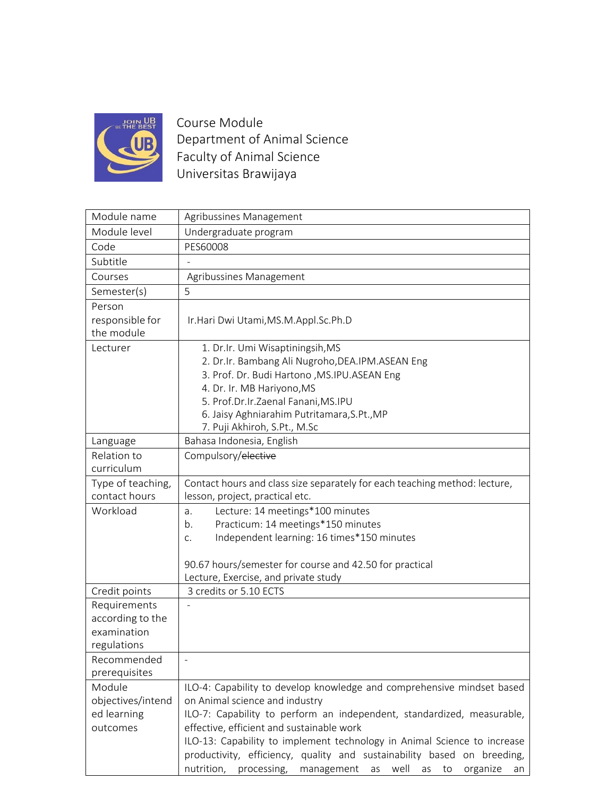

Course Module Department of Animal Science Faculty of Animal Science Universitas Brawijaya

| Module name                        | Agribussines Management                                                             |
|------------------------------------|-------------------------------------------------------------------------------------|
| Module level                       | Undergraduate program                                                               |
| Code                               | PES60008                                                                            |
| Subtitle                           |                                                                                     |
| Courses                            | Agribussines Management                                                             |
| Semester(s)                        | 5                                                                                   |
| Person                             |                                                                                     |
| responsible for                    | Ir.Hari Dwi Utami, MS.M.Appl.Sc.Ph.D                                                |
| the module                         |                                                                                     |
| Lecturer                           | 1. Dr.Ir. Umi Wisaptiningsih, MS                                                    |
|                                    | 2. Dr.Ir. Bambang Ali Nugroho, DEA.IPM. ASEAN Eng                                   |
|                                    | 3. Prof. Dr. Budi Hartono , MS.IPU.ASEAN Eng                                        |
|                                    | 4. Dr. Ir. MB Hariyono, MS                                                          |
|                                    | 5. Prof.Dr.Ir.Zaenal Fanani, MS.IPU                                                 |
|                                    | 6. Jaisy Aghniarahim Putritamara, S.Pt., MP                                         |
|                                    | 7. Puji Akhiroh, S.Pt., M.Sc                                                        |
| Language                           | Bahasa Indonesia, English                                                           |
| Relation to                        | Compulsory/elective                                                                 |
| curriculum                         |                                                                                     |
| Type of teaching,<br>contact hours | Contact hours and class size separately for each teaching method: lecture,          |
|                                    | lesson, project, practical etc.                                                     |
| Workload                           | Lecture: 14 meetings*100 minutes<br>a.                                              |
|                                    | Practicum: 14 meetings*150 minutes<br>b.                                            |
|                                    | Independent learning: 16 times*150 minutes<br>C.                                    |
|                                    | 90.67 hours/semester for course and 42.50 for practical                             |
|                                    | Lecture, Exercise, and private study                                                |
| Credit points                      | 3 credits or 5.10 ECTS                                                              |
| Requirements                       |                                                                                     |
| according to the                   |                                                                                     |
| examination                        |                                                                                     |
| regulations                        |                                                                                     |
| Recommended                        |                                                                                     |
| prerequisites                      |                                                                                     |
| Module                             | ILO-4: Capability to develop knowledge and comprehensive mindset based              |
| objectives/intend                  | on Animal science and industry                                                      |
| ed learning                        | ILO-7: Capability to perform an independent, standardized, measurable,              |
| outcomes                           | effective, efficient and sustainable work                                           |
|                                    | ILO-13: Capability to implement technology in Animal Science to increase            |
|                                    | productivity, efficiency, quality and sustainability based on breeding,             |
|                                    | nutrition,<br>well<br>processing,<br>to<br>management<br>as<br>as<br>organize<br>an |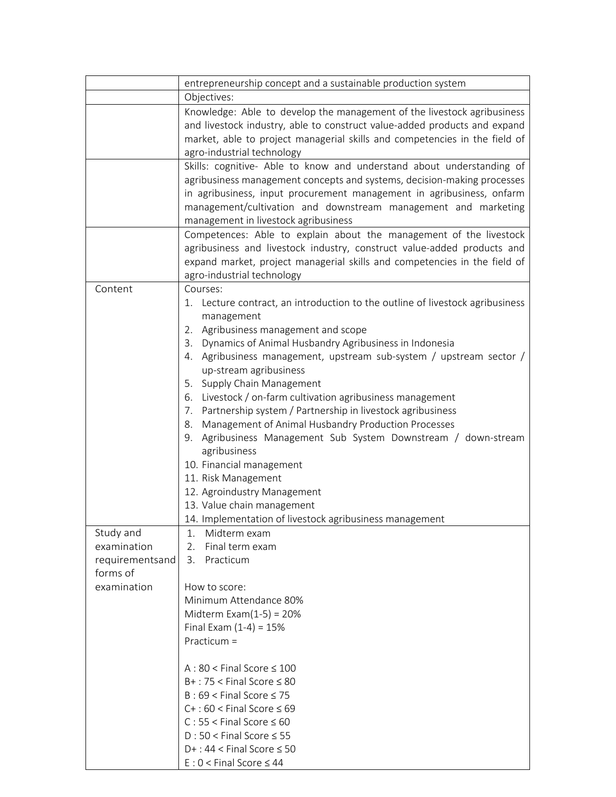|                 | entrepreneurship concept and a sustainable production system                   |
|-----------------|--------------------------------------------------------------------------------|
|                 | Objectives:                                                                    |
|                 | Knowledge: Able to develop the management of the livestock agribusiness        |
|                 | and livestock industry, able to construct value-added products and expand      |
|                 | market, able to project managerial skills and competencies in the field of     |
|                 | agro-industrial technology                                                     |
|                 | Skills: cognitive- Able to know and understand about understanding of          |
|                 | agribusiness management concepts and systems, decision-making processes        |
|                 | in agribusiness, input procurement management in agribusiness, onfarm          |
|                 | management/cultivation and downstream management and marketing                 |
|                 | management in livestock agribusiness                                           |
|                 | Competences: Able to explain about the management of the livestock             |
|                 | agribusiness and livestock industry, construct value-added products and        |
|                 | expand market, project managerial skills and competencies in the field of      |
|                 | agro-industrial technology                                                     |
| Content         | Courses:                                                                       |
|                 | 1. Lecture contract, an introduction to the outline of livestock agribusiness  |
|                 | management                                                                     |
|                 | 2. Agribusiness management and scope                                           |
|                 | 3. Dynamics of Animal Husbandry Agribusiness in Indonesia                      |
|                 | 4. Agribusiness management, upstream sub-system / upstream sector /            |
|                 | up-stream agribusiness                                                         |
|                 | 5. Supply Chain Management                                                     |
|                 | 6. Livestock / on-farm cultivation agribusiness management                     |
|                 | 7. Partnership system / Partnership in livestock agribusiness                  |
|                 | 8. Management of Animal Husbandry Production Processes                         |
|                 | 9. Agribusiness Management Sub System Downstream / down-stream<br>agribusiness |
|                 | 10. Financial management                                                       |
|                 | 11. Risk Management                                                            |
|                 | 12. Agroindustry Management                                                    |
|                 | 13. Value chain management                                                     |
|                 | 14. Implementation of livestock agribusiness management                        |
| Study and       | Midterm exam<br>1.                                                             |
| examination     | 2.<br>Final term exam                                                          |
| requirementsand | Practicum<br>3.                                                                |
| forms of        |                                                                                |
| examination     | How to score:                                                                  |
|                 | Minimum Attendance 80%                                                         |
|                 | Midterm Exam $(1-5) = 20%$                                                     |
|                 | Final Exam $(1-4) = 15%$                                                       |
|                 | Practicum $=$                                                                  |
|                 | A : $80 <$ Final Score $\leq 100$                                              |
|                 | $B+$ : 75 < Final Score $\leq 80$                                              |
|                 | $B: 69 <$ Final Score $\leq 75$                                                |
|                 | $C+$ : 60 < Final Score $\leq 69$                                              |
|                 | $C: 55 <$ Final Score $\leq 60$                                                |
|                 | $D:50 <$ Final Score $\leq 55$                                                 |
|                 | $D+$ : 44 < Final Score $\leq 50$                                              |
|                 | $E: 0 <$ Final Score $\leq 44$                                                 |